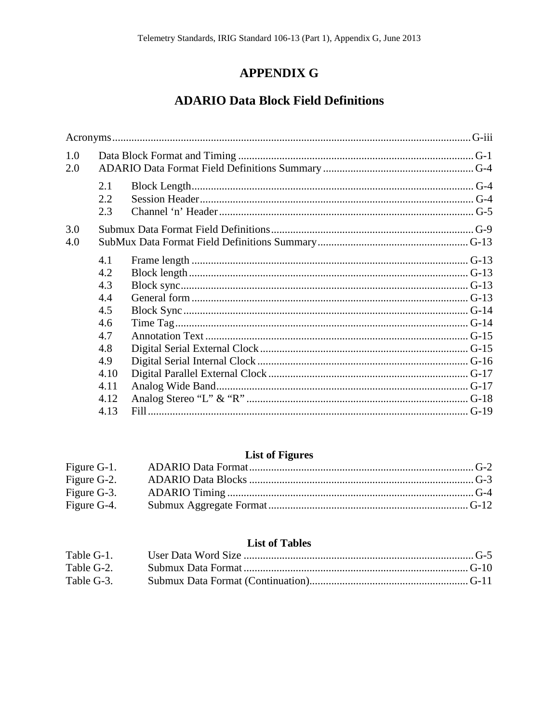## **APPENDIX G**

## **ADARIO Data Block Field Definitions**

| 1.0 |      |  |  |  |
|-----|------|--|--|--|
| 2.0 |      |  |  |  |
|     | 2.1  |  |  |  |
|     | 2.2  |  |  |  |
|     | 2.3  |  |  |  |
| 3.0 |      |  |  |  |
| 4.0 |      |  |  |  |
|     | 4.1  |  |  |  |
|     | 4.2  |  |  |  |
|     | 4.3  |  |  |  |
|     | 4.4  |  |  |  |
|     | 4.5  |  |  |  |
|     | 4.6  |  |  |  |
|     | 4.7  |  |  |  |
|     | 4.8  |  |  |  |
|     | 4.9  |  |  |  |
|     | 4.10 |  |  |  |
|     | 4.11 |  |  |  |
|     | 4.12 |  |  |  |
|     | 4.13 |  |  |  |
|     |      |  |  |  |

## **List of Figures**

| Figure G-2. |  |
|-------------|--|
| Figure G-3. |  |
| Figure G-4. |  |

## **List of Tables**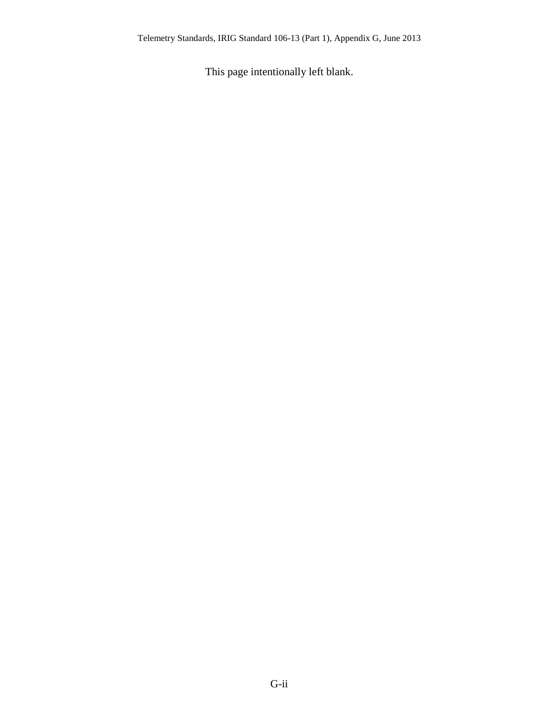This page intentionally left blank.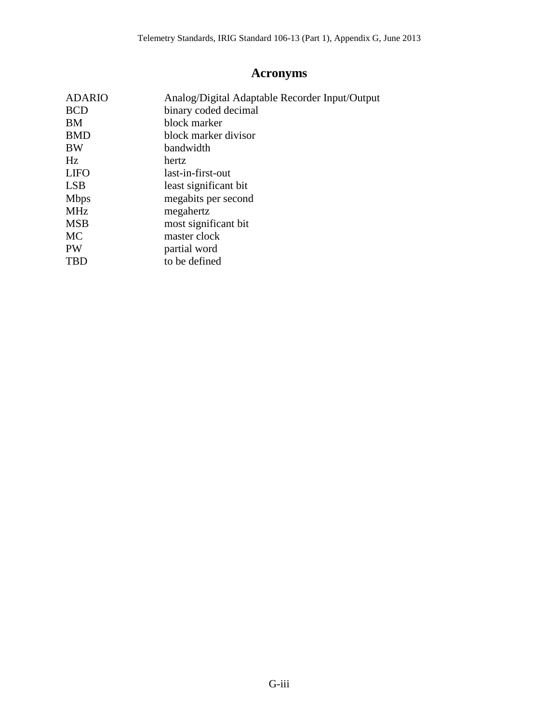# **Acronyms**

<span id="page-2-0"></span>

| <b>ADARIO</b> | Analog/Digital Adaptable Recorder Input/Output |
|---------------|------------------------------------------------|
| <b>BCD</b>    | binary coded decimal                           |
| <b>BM</b>     | block marker                                   |
| <b>BMD</b>    | block marker divisor                           |
| BW            | bandwidth                                      |
| Hz            | hertz                                          |
| <b>LIFO</b>   | last-in-first-out                              |
| <b>LSB</b>    | least significant bit                          |
| <b>Mbps</b>   | megabits per second                            |
| <b>MHz</b>    | megahertz                                      |
| <b>MSB</b>    | most significant bit                           |
| MC            | master clock                                   |
| <b>PW</b>     | partial word                                   |
| <b>TBD</b>    | to be defined                                  |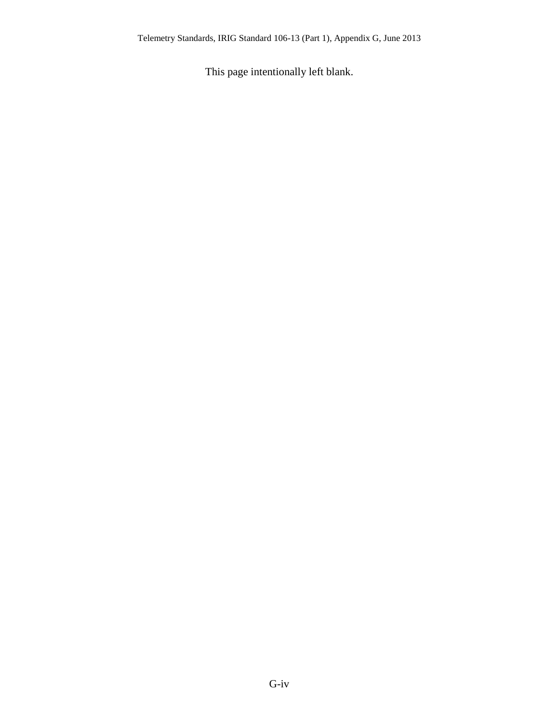This page intentionally left blank.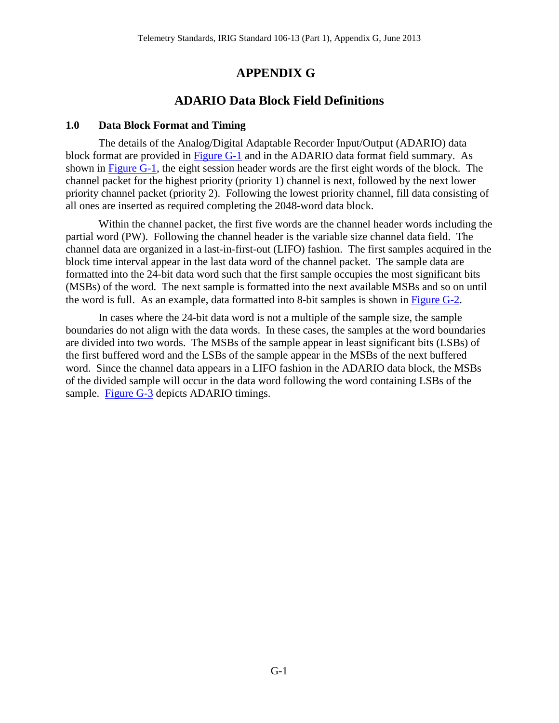## **APPENDIX G**

## **ADARIO Data Block Field Definitions**

## <span id="page-4-0"></span>**1.0 Data Block Format and Timing**

The details of the Analog/Digital Adaptable Recorder Input/Output (ADARIO) data block format are provided in [Figure G-1](#page-5-0) and in the ADARIO data format field summary. As shown in [Figure G-1,](#page-5-0) the eight session header words are the first eight words of the block. The channel packet for the highest priority (priority 1) channel is next, followed by the next lower priority channel packet (priority 2). Following the lowest priority channel, fill data consisting of all ones are inserted as required completing the 2048-word data block.

Within the channel packet, the first five words are the channel header words including the partial word (PW). Following the channel header is the variable size channel data field. The channel data are organized in a last-in-first-out (LIFO) fashion. The first samples acquired in the block time interval appear in the last data word of the channel packet. The sample data are formatted into the 24-bit data word such that the first sample occupies the most significant bits (MSBs) of the word. The next sample is formatted into the next available MSBs and so on until the word is full. As an example, data formatted into 8-bit samples is shown in [Figure G-2.](#page-6-0)

In cases where the 24-bit data word is not a multiple of the sample size, the sample boundaries do not align with the data words. In these cases, the samples at the word boundaries are divided into two words. The MSBs of the sample appear in least significant bits (LSBs) of the first buffered word and the LSBs of the sample appear in the MSBs of the next buffered word. Since the channel data appears in a LIFO fashion in the ADARIO data block, the MSBs of the divided sample will occur in the data word following the word containing LSBs of the sample. [Figure G-3](#page-7-3) depicts ADARIO timings.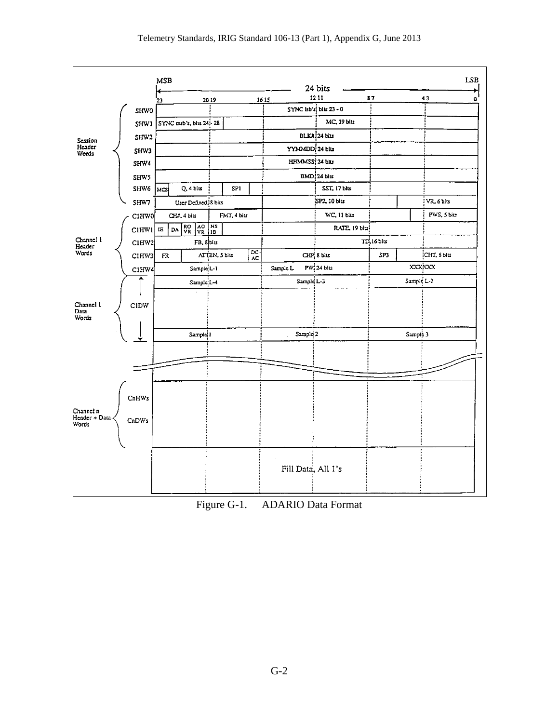

<span id="page-5-0"></span>Figure G-1. ADARIO Data Format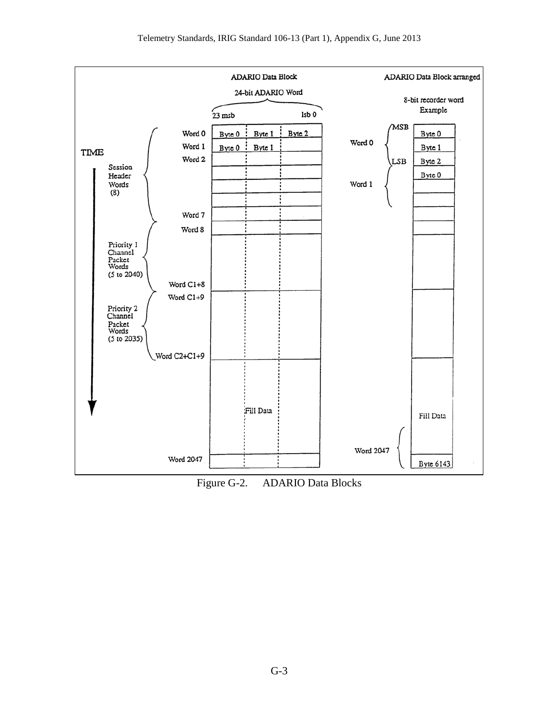

<span id="page-6-0"></span>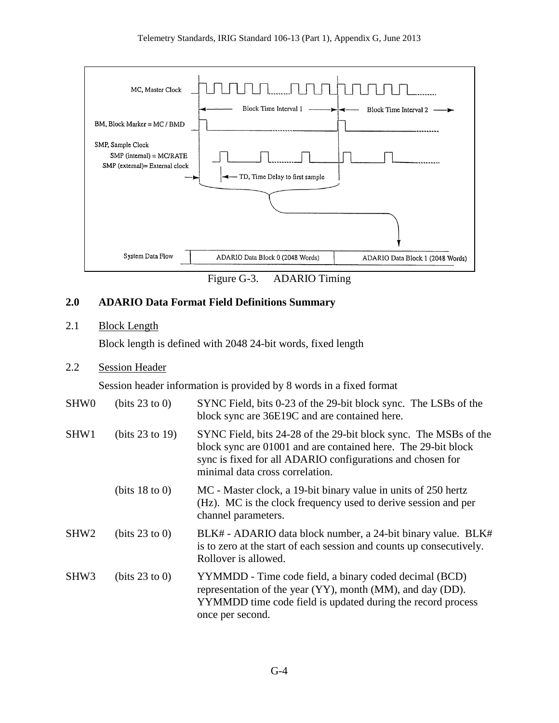

## <span id="page-7-3"></span><span id="page-7-0"></span>**2.0 ADARIO Data Format Field Definitions Summary**

#### <span id="page-7-1"></span>2.1 Block Length

Block length is defined with 2048 24-bit words, fixed length

<span id="page-7-2"></span>2.2 Session Header

Session header information is provided by 8 words in a fixed format

| SHW0             | (bits 23 to 0)    | SYNC Field, bits 0-23 of the 29-bit block sync. The LSBs of the<br>block sync are 36E19C and are contained here.                                                                                                                   |
|------------------|-------------------|------------------------------------------------------------------------------------------------------------------------------------------------------------------------------------------------------------------------------------|
| SHW1             | (bits $23$ to 19) | SYNC Field, bits 24-28 of the 29-bit block sync. The MSBs of the<br>block sync are 01001 and are contained here. The 29-bit block<br>sync is fixed for all ADARIO configurations and chosen for<br>minimal data cross correlation. |
|                  | (bits $18$ to 0)  | MC - Master clock, a 19-bit binary value in units of 250 hertz<br>(Hz). MC is the clock frequency used to derive session and per<br>channel parameters.                                                                            |
| SHW <sub>2</sub> | (bits 23 to 0)    | BLK# - ADARIO data block number, a 24-bit binary value. BLK#<br>is to zero at the start of each session and counts up consecutively.<br>Rollover is allowed.                                                                       |
| SHW <sub>3</sub> | (bits 23 to 0)    | YYMMDD - Time code field, a binary coded decimal (BCD)<br>representation of the year (YY), month (MM), and day (DD).<br>YYMMDD time code field is updated during the record process<br>once per second.                            |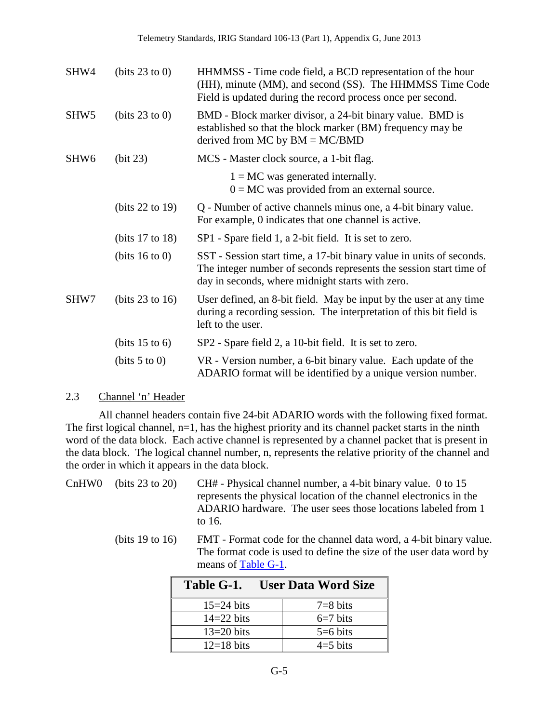| SHW4             | (bits $23$ to 0)     | HHMMSS - Time code field, a BCD representation of the hour<br>(HH), minute (MM), and second (SS). The HHMMSS Time Code<br>Field is updated during the record process once per second.          |
|------------------|----------------------|------------------------------------------------------------------------------------------------------------------------------------------------------------------------------------------------|
| SHW <sub>5</sub> | (bits 23 to 0)       | BMD - Block marker divisor, a 24-bit binary value. BMD is<br>established so that the block marker (BM) frequency may be<br>derived from MC by $BM = MC/BMD$                                    |
| SHW <sub>6</sub> | (bit 23)             | MCS - Master clock source, a 1-bit flag.                                                                                                                                                       |
|                  |                      | $1 = MC$ was generated internally.<br>$0 = MC$ was provided from an external source.                                                                                                           |
|                  | (bits 22 to 19)      | Q - Number of active channels minus one, a 4-bit binary value.<br>For example, 0 indicates that one channel is active.                                                                         |
|                  | (bits $17$ to $18$ ) | SP1 - Spare field 1, a 2-bit field. It is set to zero.                                                                                                                                         |
|                  | (bits $16$ to 0)     | SST - Session start time, a 17-bit binary value in units of seconds.<br>The integer number of seconds represents the session start time of<br>day in seconds, where midnight starts with zero. |
| SHW7             | (bits 23 to 16)      | User defined, an 8-bit field. May be input by the user at any time<br>during a recording session. The interpretation of this bit field is<br>left to the user.                                 |
|                  | (bits $15$ to 6)     | SP2 - Spare field 2, a 10-bit field. It is set to zero.                                                                                                                                        |
|                  | (bits 5 to 0)        | VR - Version number, a 6-bit binary value. Each update of the<br>ADARIO format will be identified by a unique version number.                                                                  |

#### <span id="page-8-0"></span>2.3 Channel 'n' Header

All channel headers contain five 24-bit ADARIO words with the following fixed format. The first logical channel,  $n=1$ , has the highest priority and its channel packet starts in the ninth word of the data block. Each active channel is represented by a channel packet that is present in the data block. The logical channel number, n, represents the relative priority of the channel and the order in which it appears in the data block.

| CnHW0 - | (bits 23 to 20) | CH# - Physical channel number, a 4-bit binary value. 0 to 15       |
|---------|-----------------|--------------------------------------------------------------------|
|         |                 | represents the physical location of the channel electronics in the |
|         |                 | ADARIO hardware. The user sees those locations labeled from 1      |
|         |                 | to $16.$                                                           |

(bits 19 to 16) FMT - Format code for the channel data word, a 4-bit binary value. The format code is used to define the size of the user data word by means of [Table G-1.](#page-8-1)

<span id="page-8-1"></span>

| Table G-1.   | <b>User Data Word Size</b> |
|--------------|----------------------------|
| $15=24$ bits | $7=8$ bits                 |
| $14=22$ bits | $6=7$ bits                 |
| $13=20$ bits | $5=6$ bits                 |
| $12=18$ bits | $4=5$ bits                 |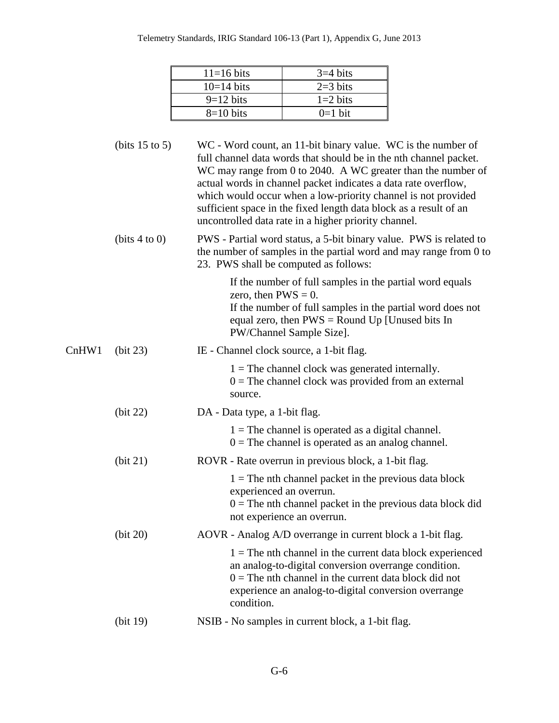| $11=16 \text{ bits}$ | $3=4$ bits |
|----------------------|------------|
| $10=14$ bits         | $2=3$ bits |
| $9=12$ bits          | $1=2$ bits |
| $8=10$ bits          | $0=1$ bit  |

|       | (bits $15$ to $5$ ) | WC - Word count, an 11-bit binary value. WC is the number of<br>full channel data words that should be in the nth channel packet.<br>WC may range from 0 to 2040. A WC greater than the number of<br>actual words in channel packet indicates a data rate overflow,<br>which would occur when a low-priority channel is not provided<br>sufficient space in the fixed length data block as a result of an<br>uncontrolled data rate in a higher priority channel. |
|-------|---------------------|-------------------------------------------------------------------------------------------------------------------------------------------------------------------------------------------------------------------------------------------------------------------------------------------------------------------------------------------------------------------------------------------------------------------------------------------------------------------|
|       | (bits 4 to 0)       | PWS - Partial word status, a 5-bit binary value. PWS is related to<br>the number of samples in the partial word and may range from 0 to<br>23. PWS shall be computed as follows:                                                                                                                                                                                                                                                                                  |
|       |                     | If the number of full samples in the partial word equals<br>zero, then $PWS = 0$ .<br>If the number of full samples in the partial word does not<br>equal zero, then $PWS =$ Round Up [Unused bits In<br>PW/Channel Sample Size].                                                                                                                                                                                                                                 |
| ChHW1 | (bit 23)            | IE - Channel clock source, a 1-bit flag.                                                                                                                                                                                                                                                                                                                                                                                                                          |
|       |                     | $1 =$ The channel clock was generated internally.<br>$0 =$ The channel clock was provided from an external<br>source.                                                                                                                                                                                                                                                                                                                                             |
|       | (bit 22)            | DA - Data type, a 1-bit flag.                                                                                                                                                                                                                                                                                                                                                                                                                                     |
|       |                     | $1 =$ The channel is operated as a digital channel.<br>$0 =$ The channel is operated as an analog channel.                                                                                                                                                                                                                                                                                                                                                        |
|       | (bit 21)            | ROVR - Rate overrun in previous block, a 1-bit flag.                                                                                                                                                                                                                                                                                                                                                                                                              |
|       |                     | $1 =$ The nth channel packet in the previous data block<br>experienced an overrun.<br>$0 =$ The nth channel packet in the previous data block did<br>not experience an overrun.                                                                                                                                                                                                                                                                                   |
|       | (bit 20)            | AOVR - Analog A/D overrange in current block a 1-bit flag.                                                                                                                                                                                                                                                                                                                                                                                                        |
|       |                     | $1 =$ The nth channel in the current data block experienced<br>an analog-to-digital conversion overrange condition.<br>$0 =$ The nth channel in the current data block did not<br>experience an analog-to-digital conversion overrange<br>condition.                                                                                                                                                                                                              |
|       | (bit 19)            | NSIB - No samples in current block, a 1-bit flag.                                                                                                                                                                                                                                                                                                                                                                                                                 |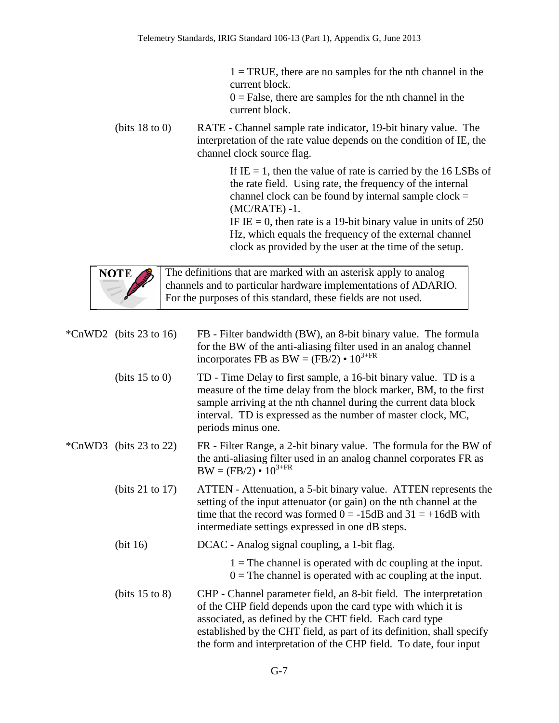|                  | $1 = TRUE$ , there are no samples for the nth channel in the<br>current block.<br>$0 =$ False, there are samples for the nth channel in the<br>current block.                                                                                                                                                                                                                                   |
|------------------|-------------------------------------------------------------------------------------------------------------------------------------------------------------------------------------------------------------------------------------------------------------------------------------------------------------------------------------------------------------------------------------------------|
| (bits $18$ to 0) | RATE - Channel sample rate indicator, 19-bit binary value. The<br>interpretation of the rate value depends on the condition of IE, the<br>channel clock source flag.                                                                                                                                                                                                                            |
|                  | If IE = 1, then the value of rate is carried by the 16 LSBs of<br>the rate field. Using rate, the frequency of the internal<br>channel clock can be found by internal sample clock $=$<br>$(MC/RATE) -1.$<br>IF IE = 0, then rate is a 19-bit binary value in units of 250<br>Hz, which equals the frequency of the external channel<br>clock as provided by the user at the time of the setup. |



The definitions that are marked with an asterisk apply to analog channels and to particular hardware implementations of ADARIO. For the purposes of this standard, these fields are not used.

| *CnWD2 (bits 23 to 16) | FB - Filter bandwidth (BW), an 8-bit binary value. The formula<br>for the BW of the anti-aliasing filter used in an analog channel<br>incorporates FB as BW = $(FB/2) \cdot 10^{3+FR}$                                                                                                                                                      |
|------------------------|---------------------------------------------------------------------------------------------------------------------------------------------------------------------------------------------------------------------------------------------------------------------------------------------------------------------------------------------|
| (bits $15$ to 0)       | TD - Time Delay to first sample, a 16-bit binary value. TD is a<br>measure of the time delay from the block marker, BM, to the first<br>sample arriving at the nth channel during the current data block<br>interval. TD is expressed as the number of master clock, MC,<br>periods minus one.                                              |
| *CnWD3 (bits 23 to 22) | FR - Filter Range, a 2-bit binary value. The formula for the BW of<br>the anti-aliasing filter used in an analog channel corporates FR as<br>$BW = (FB/2) \cdot 10^{3+FR}$                                                                                                                                                                  |
| (bits 21 to 17)        | ATTEN - Attenuation, a 5-bit binary value. ATTEN represents the<br>setting of the input attenuator (or gain) on the nth channel at the<br>time that the record was formed $0 = -15dB$ and $31 = +16dB$ with<br>intermediate settings expressed in one dB steps.                                                                             |
| (bit 16)               | DCAC - Analog signal coupling, a 1-bit flag.                                                                                                                                                                                                                                                                                                |
|                        | $1 =$ The channel is operated with dc coupling at the input.<br>$0 =$ The channel is operated with ac coupling at the input.                                                                                                                                                                                                                |
| (bits $15$ to 8)       | CHP - Channel parameter field, an 8-bit field. The interpretation<br>of the CHP field depends upon the card type with which it is<br>associated, as defined by the CHT field. Each card type<br>established by the CHT field, as part of its definition, shall specify<br>the form and interpretation of the CHP field. To date, four input |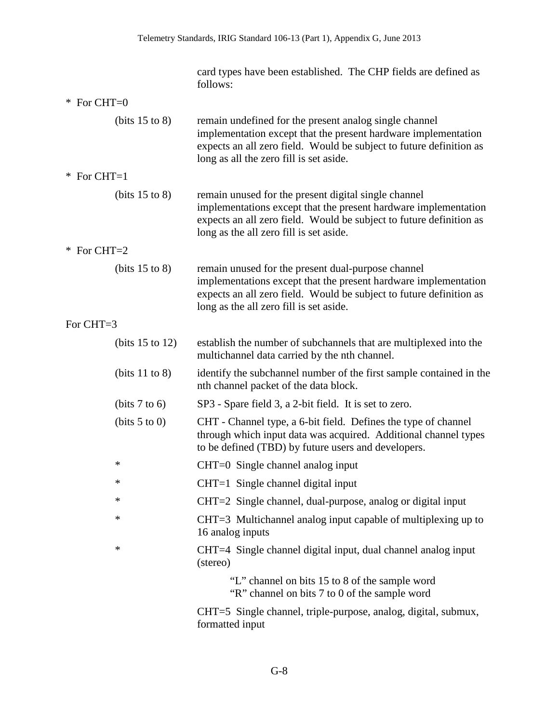| card types have been established. The CHP fields are defined as |  |
|-----------------------------------------------------------------|--|
| follows:                                                        |  |

| $*$ For CHT=0        |                                                                                                                                                                                                                                            |
|----------------------|--------------------------------------------------------------------------------------------------------------------------------------------------------------------------------------------------------------------------------------------|
| (bits $15$ to 8)     | remain undefined for the present analog single channel<br>implementation except that the present hardware implementation<br>expects an all zero field. Would be subject to future definition as<br>long as all the zero fill is set aside. |
| $*$ For CHT=1        |                                                                                                                                                                                                                                            |
| (bits $15$ to $8$ )  | remain unused for the present digital single channel<br>implementations except that the present hardware implementation<br>expects an all zero field. Would be subject to future definition as<br>long as the all zero fill is set aside.  |
| $*$ For CHT=2        |                                                                                                                                                                                                                                            |
| (bits $15$ to 8)     | remain unused for the present dual-purpose channel<br>implementations except that the present hardware implementation<br>expects an all zero field. Would be subject to future definition as<br>long as the all zero fill is set aside.    |
| For CHT=3            |                                                                                                                                                                                                                                            |
| (bits $15$ to $12$ ) | establish the number of subchannels that are multiplexed into the<br>multichannel data carried by the nth channel.                                                                                                                         |
| (bits $11$ to 8)     | identify the subchannel number of the first sample contained in the<br>nth channel packet of the data block.                                                                                                                               |
| (bits 7 to 6)        | SP3 - Spare field 3, a 2-bit field. It is set to zero.                                                                                                                                                                                     |
| (bits $5$ to 0)      | CHT - Channel type, a 6-bit field. Defines the type of channel<br>through which input data was acquired. Additional channel types<br>to be defined (TBD) by future users and developers.                                                   |
| *                    | CHT=0 Single channel analog input                                                                                                                                                                                                          |
| *                    | $CHT=1$ Single channel digital input                                                                                                                                                                                                       |
| *                    | CHT=2 Single channel, dual-purpose, analog or digital input                                                                                                                                                                                |
| *                    | CHT=3 Multichannel analog input capable of multiplexing up to<br>16 analog inputs                                                                                                                                                          |
| ∗                    | CHT=4 Single channel digital input, dual channel analog input<br>(stereo)                                                                                                                                                                  |
|                      | "L" channel on bits 15 to 8 of the sample word<br>"R" channel on bits 7 to 0 of the sample word                                                                                                                                            |
|                      | CHT=5 Single channel, triple-purpose, analog, digital, submux,<br>formatted input                                                                                                                                                          |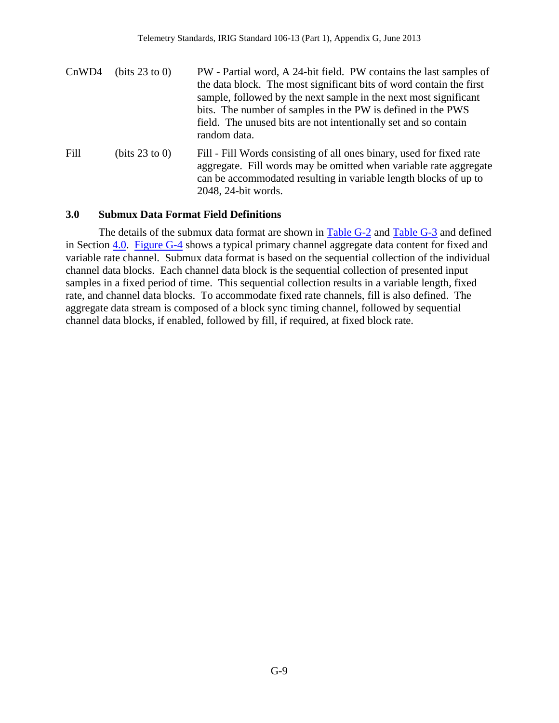| CnWD4 | (bits 23 to 0)   | PW - Partial word, A 24-bit field. PW contains the last samples of<br>the data block. The most significant bits of word contain the first<br>sample, followed by the next sample in the next most significant<br>bits. The number of samples in the PW is defined in the PWS<br>field. The unused bits are not intentionally set and so contain<br>random data. |
|-------|------------------|-----------------------------------------------------------------------------------------------------------------------------------------------------------------------------------------------------------------------------------------------------------------------------------------------------------------------------------------------------------------|
| Fill  | (bits $23$ to 0) | Fill - Fill Words consisting of all ones binary, used for fixed rate<br>aggregate. Fill words may be omitted when variable rate aggregate<br>can be accommodated resulting in variable length blocks of up to<br>2048, 24-bit words.                                                                                                                            |

#### <span id="page-12-0"></span>**3.0 Submux Data Format Field Definitions**

The details of the submux data format are shown in [Table G-2](#page-13-0) and [Table G-3](#page-14-0) and defined in Section [4.0.](#page-16-0) [Figure G-4](#page-15-0) shows a typical primary channel aggregate data content for fixed and variable rate channel. Submux data format is based on the sequential collection of the individual channel data blocks. Each channel data block is the sequential collection of presented input samples in a fixed period of time. This sequential collection results in a variable length, fixed rate, and channel data blocks. To accommodate fixed rate channels, fill is also defined. The aggregate data stream is composed of a block sync timing channel, followed by sequential channel data blocks, if enabled, followed by fill, if required, at fixed block rate.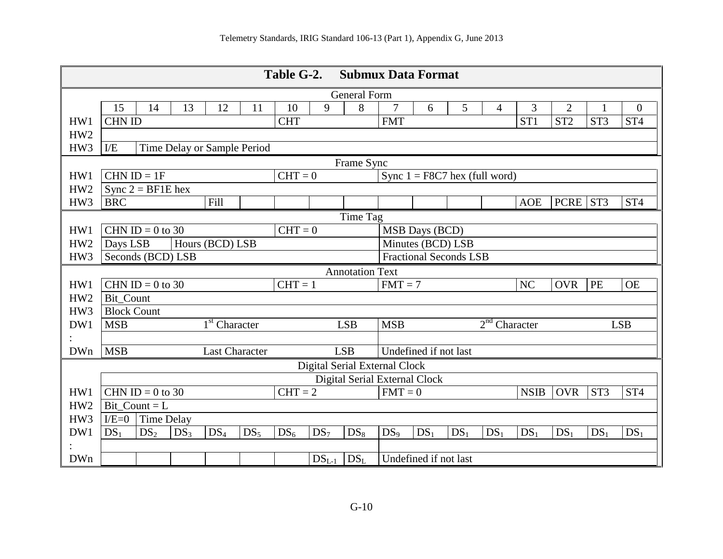<span id="page-13-0"></span>

|                 | Table G-2.<br><b>Submux Data Format</b> |                   |                 |                             |                 |                 |                                                                              |            |                               |                               |                 |                                 |                 |                 |                 |                 |
|-----------------|-----------------------------------------|-------------------|-----------------|-----------------------------|-----------------|-----------------|------------------------------------------------------------------------------|------------|-------------------------------|-------------------------------|-----------------|---------------------------------|-----------------|-----------------|-----------------|-----------------|
|                 | <b>General Form</b>                     |                   |                 |                             |                 |                 |                                                                              |            |                               |                               |                 |                                 |                 |                 |                 |                 |
|                 | 15                                      | 14                | 13              | 12                          | 11              | 10              | 9                                                                            | 8          |                               | 6                             | 5               | 4                               | 3               | $\overline{2}$  |                 | $\overline{0}$  |
| HW1             | <b>CHN ID</b>                           |                   |                 |                             |                 | <b>CHT</b>      |                                                                              |            | <b>FMT</b>                    |                               |                 |                                 | ST <sub>1</sub> | ST <sub>2</sub> | ST <sub>3</sub> | ST <sub>4</sub> |
| HW <sub>2</sub> |                                         |                   |                 |                             |                 |                 |                                                                              |            |                               |                               |                 |                                 |                 |                 |                 |                 |
| HW3             | $\overline{E}$                          |                   |                 | Time Delay or Sample Period |                 |                 |                                                                              |            |                               |                               |                 |                                 |                 |                 |                 |                 |
|                 |                                         |                   |                 |                             |                 |                 |                                                                              | Frame Sync |                               |                               |                 |                                 |                 |                 |                 |                 |
| HW1             | $CHN ID = 1F$                           |                   |                 |                             |                 | $CHT = 0$       |                                                                              |            |                               |                               |                 | Sync $1 = F8C7$ hex (full word) |                 |                 |                 |                 |
| HW <sub>2</sub> | Sync $2 = BFIE$ hex                     |                   |                 |                             |                 |                 |                                                                              |            |                               |                               |                 |                                 |                 |                 |                 |                 |
| HW3             | <b>BRC</b>                              |                   |                 | Fill                        |                 |                 |                                                                              |            |                               |                               |                 |                                 | <b>AOE</b>      | PCRE ST3        |                 | ST <sub>4</sub> |
|                 | Time Tag                                |                   |                 |                             |                 |                 |                                                                              |            |                               |                               |                 |                                 |                 |                 |                 |                 |
| HW1             | CHN ID = $0$ to 30                      |                   |                 |                             |                 | $CHT = 0$       |                                                                              |            |                               | <b>MSB</b> Days (BCD)         |                 |                                 |                 |                 |                 |                 |
| HW <sub>2</sub> | Days LSB                                |                   |                 | Hours (BCD) LSB             |                 |                 |                                                                              |            |                               | Minutes (BCD) LSB             |                 |                                 |                 |                 |                 |                 |
| HW3             | Seconds (BCD) LSB                       |                   |                 |                             |                 |                 |                                                                              |            |                               | <b>Fractional Seconds LSB</b> |                 |                                 |                 |                 |                 |                 |
|                 | <b>Annotation Text</b>                  |                   |                 |                             |                 |                 |                                                                              |            |                               |                               |                 |                                 |                 |                 |                 |                 |
| HW1             | CHN ID = 0 to 30                        |                   |                 |                             |                 | $CHT = 1$       |                                                                              |            | $FMT = 7$                     |                               |                 |                                 | N <sub>C</sub>  | <b>OVR</b>      | PE              | <b>OE</b>       |
| HW <sub>2</sub> | Bit_Count                               |                   |                 |                             |                 |                 |                                                                              |            |                               |                               |                 |                                 |                 |                 |                 |                 |
| HW3             | <b>Block Count</b>                      |                   |                 |                             |                 |                 |                                                                              |            |                               |                               |                 |                                 |                 |                 |                 |                 |
| DW1             | <b>MSB</b>                              |                   |                 | $1st$ Character             |                 |                 |                                                                              | <b>LSB</b> | <b>MSB</b>                    |                               |                 | $2^{nd}$                        | Character       |                 |                 | <b>LSB</b>      |
|                 |                                         |                   |                 |                             |                 |                 |                                                                              |            |                               |                               |                 |                                 |                 |                 |                 |                 |
| <b>DWn</b>      | <b>MSB</b>                              |                   |                 | <b>Last Character</b>       |                 |                 |                                                                              | <b>LSB</b> |                               | Undefined if not last         |                 |                                 |                 |                 |                 |                 |
|                 |                                         |                   |                 |                             |                 |                 | Digital Serial External Clock                                                |            |                               |                               |                 |                                 |                 |                 |                 |                 |
|                 |                                         |                   |                 |                             |                 |                 |                                                                              |            | Digital Serial External Clock |                               |                 |                                 |                 |                 |                 |                 |
| HW1             | $CHT = 2$<br>CHN ID = 0 to 30           |                   |                 |                             |                 |                 | $FMT = 0$<br>ST <sub>3</sub><br>ST <sub>4</sub><br><b>NSIB</b><br><b>OVR</b> |            |                               |                               |                 |                                 |                 |                 |                 |                 |
|                 |                                         |                   |                 |                             |                 | Bit Count = $L$ |                                                                              |            |                               |                               |                 |                                 |                 |                 |                 |                 |
| HW <sub>2</sub> |                                         |                   |                 |                             |                 |                 |                                                                              |            |                               |                               |                 |                                 |                 |                 |                 |                 |
| HW3             | $I/E=0$                                 | <b>Time Delay</b> |                 |                             |                 |                 |                                                                              |            |                               |                               |                 |                                 |                 |                 |                 |                 |
| DW1             | DS <sub>1</sub>                         | DS <sub>2</sub>   | DS <sub>3</sub> | DS <sub>4</sub>             | DS <sub>5</sub> | DS <sub>6</sub> | DS <sub>7</sub>                                                              | $DS_8$     | DS <sub>9</sub>               | DS <sub>1</sub>               | DS <sub>1</sub> | DS <sub>1</sub>                 | DS <sub>1</sub> | DS <sub>1</sub> | DS <sub>1</sub> | DS <sub>1</sub> |
|                 |                                         |                   |                 |                             |                 |                 |                                                                              |            |                               |                               |                 |                                 |                 |                 |                 |                 |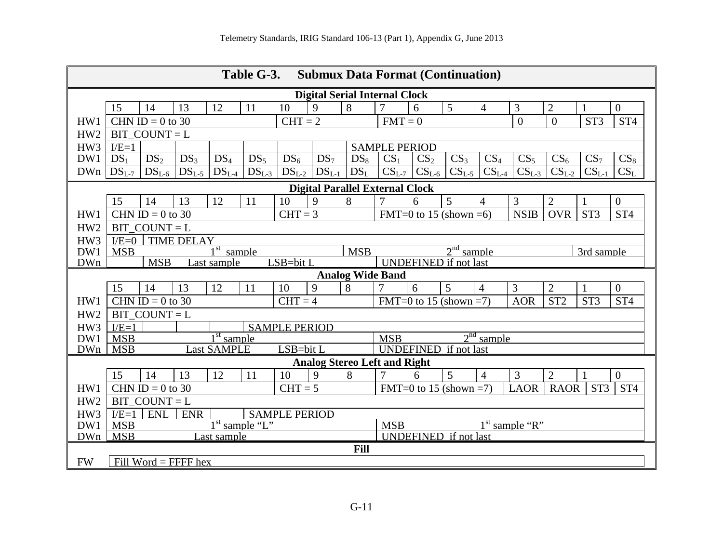<span id="page-14-0"></span>

|                 | Table G-3.<br><b>Submux Data Format (Continuation)</b> |                              |                 |                              |                            |                      |                 |                         |                                        |                                      |                 |                 |                  |                 |                 |                  |
|-----------------|--------------------------------------------------------|------------------------------|-----------------|------------------------------|----------------------------|----------------------|-----------------|-------------------------|----------------------------------------|--------------------------------------|-----------------|-----------------|------------------|-----------------|-----------------|------------------|
|                 | <b>Digital Serial Internal Clock</b>                   |                              |                 |                              |                            |                      |                 |                         |                                        |                                      |                 |                 |                  |                 |                 |                  |
|                 | 15                                                     | 14                           | 13              | 12                           | 11                         | 10                   | 9               | $\overline{8}$          | $\overline{7}$                         | 6                                    | 5               | $\overline{4}$  | 3                | $\mathfrak{2}$  |                 | $\theta$         |
| HW1             |                                                        | CHN ID = $0$ to 30           |                 |                              |                            | $CHT = 2$            |                 |                         | $FMT = 0$                              |                                      |                 |                 | $\overline{0}$   | $\overline{0}$  | ST <sub>3</sub> | ST <sub>4</sub>  |
| HW <sub>2</sub> |                                                        | $BIT$ <sub>_</sub> COUNT = L |                 |                              |                            |                      |                 |                         |                                        |                                      |                 |                 |                  |                 |                 |                  |
| HW3             | $I/E=1$                                                |                              |                 |                              |                            |                      |                 |                         | <b>SAMPLE PERIOD</b>                   |                                      |                 |                 |                  |                 |                 |                  |
| DW1             | DS <sub>1</sub>                                        | DS <sub>2</sub>              | DS <sub>3</sub> | DS <sub>4</sub>              | $DS_5$                     | DS <sub>6</sub>      | DS <sub>7</sub> | $DS_8$                  | CS <sub>1</sub>                        | CS <sub>2</sub>                      | CS <sub>3</sub> | CS <sub>4</sub> | CS <sub>5</sub>  | CS <sub>6</sub> | CS <sub>7</sub> | CS <sub>8</sub>  |
| <b>DWn</b>      | $DSL-7$                                                | $DSL-6$                      | $DSL-5$         | $DSL-4$                      | $DSL-3$                    | $DSL-2$              | $DSL-1$         | DS <sub>L</sub>         | $CS_{L-7}$                             | $CSL-6$                              | $CS_{L-5}$      | $CSL-4$         | $CSL-3$          | $CSL-2$         | $CSL-1$         | CS <sub>L</sub>  |
|                 |                                                        |                              |                 |                              |                            |                      |                 |                         | <b>Digital Parallel External Clock</b> |                                      |                 |                 |                  |                 |                 |                  |
|                 | 15                                                     | 14                           | 13              | 12                           | 11                         | 10                   | 9               | 8                       |                                        | 6                                    | 5               | $\overline{4}$  | $\overline{3}$   | $\overline{2}$  |                 | $\boldsymbol{0}$ |
| HW1             |                                                        | CHN ID = $0$ to 30           |                 |                              |                            | $CHT = 3$            |                 |                         |                                        | $\overline{FMT}$ =0 to 15 (shown =6) |                 |                 | <b>NSIB</b>      | <b>OVR</b>      | ST <sub>3</sub> | ST <sub>4</sub>  |
| HW <sub>2</sub> |                                                        | $BIT$ COUNT = L              |                 |                              |                            |                      |                 |                         |                                        |                                      |                 |                 |                  |                 |                 |                  |
| HW3             |                                                        | $E=0$ TIME DELAY             |                 |                              |                            |                      |                 |                         |                                        |                                      |                 |                 |                  |                 |                 |                  |
| DW1             | <b>MSB</b>                                             |                              |                 | l st<br>sample               |                            |                      |                 | <b>MSB</b>              |                                        |                                      | $2nd$ sample    |                 |                  |                 | 3rd sample      |                  |
| <b>DWn</b>      |                                                        | <b>MSB</b>                   |                 | Last sample                  |                            | LSB=bit L            |                 |                         |                                        | <b>UNDEFINED</b> if not last         |                 |                 |                  |                 |                 |                  |
|                 |                                                        |                              |                 |                              |                            |                      |                 | <b>Analog Wide Band</b> |                                        |                                      |                 |                 |                  |                 |                 |                  |
|                 | 15                                                     | 14                           | 13              | 12                           | 11                         | 10                   | 9               | 8                       |                                        | 6                                    | 5               | 4               | 3                | $\overline{2}$  |                 | $\overline{0}$   |
| HW1             |                                                        | CHN ID = 0 to 30             |                 |                              |                            | $CHT = 4$            |                 |                         |                                        | FMT=0 to 15 (shown =7)               |                 |                 | <b>AOR</b>       | ST <sub>2</sub> | ST <sub>3</sub> | ST <sub>4</sub>  |
| HW <sub>2</sub> |                                                        | $BIT$ <sub>_</sub> COUNT = L |                 |                              |                            |                      |                 |                         |                                        |                                      |                 |                 |                  |                 |                 |                  |
| HW3<br>DW1      | $I/E=1$<br><b>MSB</b>                                  |                              |                 | $\sqrt{\frac{st}{s}}$ sample |                            | <b>SAMPLE PERIOD</b> |                 |                         | <b>MSB</b>                             |                                      |                 | $2nd$ sample    |                  |                 |                 |                  |
| <b>DWn</b>      | <b>MSB</b>                                             |                              |                 | <b>Last SAMPLE</b>           |                            | LSB=bit L            |                 |                         |                                        | <b>UNDEFINED</b> if not last         |                 |                 |                  |                 |                 |                  |
|                 |                                                        |                              |                 |                              |                            |                      |                 |                         | <b>Analog Stereo Left and Right</b>    |                                      |                 |                 |                  |                 |                 |                  |
|                 | 15                                                     | 14                           | 13              | 12                           | 11                         | 10                   | 9               | 8                       |                                        | 6                                    | 5               | $\overline{4}$  | 3                | $\overline{2}$  |                 | $\overline{0}$   |
| HW1             |                                                        | CHN ID = 0 to 30             |                 |                              |                            | $CHT = 5$            |                 |                         |                                        | FMT=0 to 15 (shown =7)               |                 |                 | <b>LAOR</b>      | <b>RAOR</b>     | ST <sub>3</sub> | ST4              |
| HW <sub>2</sub> |                                                        | $BIT$ COUNT = L              |                 |                              |                            |                      |                 |                         |                                        |                                      |                 |                 |                  |                 |                 |                  |
| HW3             | $E=1$                                                  | <b>ENL</b>                   | <b>ENR</b>      |                              |                            | <b>SAMPLE PERIOD</b> |                 |                         |                                        |                                      |                 |                 |                  |                 |                 |                  |
| DW1             | <b>MSB</b>                                             |                              |                 |                              | $1^{\text{st}}$ sample "L" |                      |                 |                         | <b>MSB</b>                             |                                      |                 |                 | $1st$ sample "R" |                 |                 |                  |
| <b>DWn</b>      | <b>MSB</b>                                             |                              |                 | Last sample                  |                            |                      |                 |                         |                                        | <b>UNDEFINED</b> if not last         |                 |                 |                  |                 |                 |                  |
|                 |                                                        |                              |                 |                              |                            |                      |                 | Fill                    |                                        |                                      |                 |                 |                  |                 |                 |                  |
| <b>FW</b>       |                                                        | Fill Word = FFFF hex         |                 |                              |                            |                      |                 |                         |                                        |                                      |                 |                 |                  |                 |                 |                  |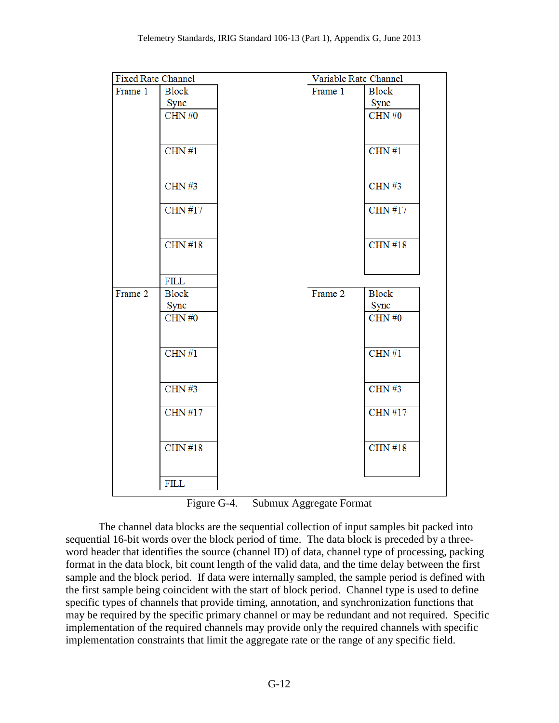| Fixed Rate Channel |               | Variable Rate Channel |               |
|--------------------|---------------|-----------------------|---------------|
| Frame 1            | <b>Block</b>  | Frame 1               | <b>Block</b>  |
|                    | Sync          |                       | Sync          |
|                    | CHN#0         |                       | CHN#0         |
|                    |               |                       |               |
|                    |               |                       |               |
|                    | CHN#1         |                       | CHN#1         |
|                    |               |                       |               |
|                    | CHN#3         |                       | CHN $#3$      |
|                    |               |                       |               |
|                    | <b>CHN#17</b> |                       | CHN#17        |
|                    |               |                       |               |
|                    |               |                       |               |
|                    | <b>CHN#18</b> |                       | <b>CHN#18</b> |
|                    |               |                       |               |
|                    |               |                       |               |
|                    | <b>FILL</b>   |                       |               |
| Frame 2            | <b>Block</b>  | Frame 2               | <b>Block</b>  |
|                    | Sync          |                       | Sync          |
|                    | $CHN \#0$     |                       | $CHN \#0$     |
|                    |               |                       |               |
|                    | CHN#1         |                       | CHN#1         |
|                    |               |                       |               |
|                    |               |                       |               |
|                    | CHN#3         |                       | CHN#3         |
|                    |               |                       |               |
|                    | <b>CHN#17</b> |                       | <b>CHN#17</b> |
|                    |               |                       |               |
|                    |               |                       |               |
|                    | <b>CHN#18</b> |                       | CHN#18        |
|                    |               |                       |               |
|                    | ${\rm FILL}$  |                       |               |
|                    |               |                       |               |

Figure G-4. Submux Aggregate Format

<span id="page-15-0"></span>The channel data blocks are the sequential collection of input samples bit packed into sequential 16-bit words over the block period of time. The data block is preceded by a threeword header that identifies the source (channel ID) of data, channel type of processing, packing format in the data block, bit count length of the valid data, and the time delay between the first sample and the block period. If data were internally sampled, the sample period is defined with the first sample being coincident with the start of block period. Channel type is used to define specific types of channels that provide timing, annotation, and synchronization functions that may be required by the specific primary channel or may be redundant and not required. Specific implementation of the required channels may provide only the required channels with specific implementation constraints that limit the aggregate rate or the range of any specific field.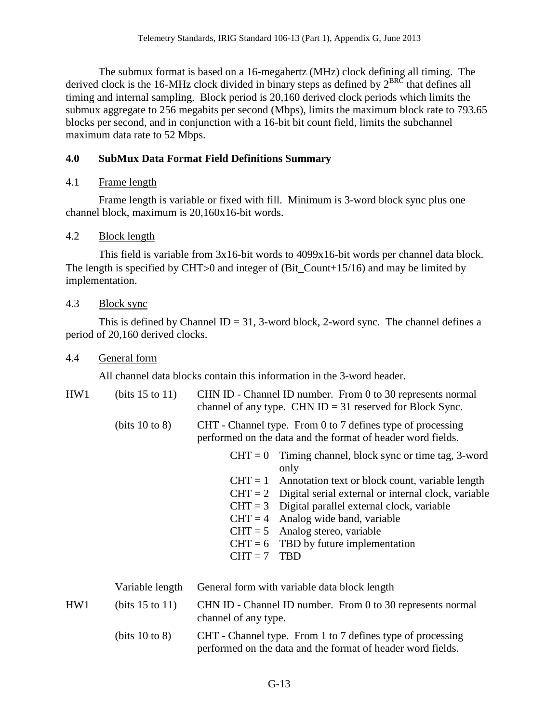The submux format is based on a 16-megahertz (MHz) clock defining all timing. The derived clock is the 16-MHz clock divided in binary steps as defined by  $2^{BR\check{C}}$  that defines all timing and internal sampling. Block period is 20,160 derived clock periods which limits the submux aggregate to 256 megabits per second (Mbps), limits the maximum block rate to 793.65 blocks per second, and in conjunction with a 16-bit bit count field, limits the subchannel maximum data rate to 52 Mbps.

## <span id="page-16-0"></span>**4.0 SubMux Data Format Field Definitions Summary**

### <span id="page-16-1"></span>4.1 Frame length

Frame length is variable or fixed with fill. Minimum is 3-word block sync plus one channel block, maximum is 20,160x16-bit words.

## <span id="page-16-2"></span>4.2 Block length

This field is variable from 3x16-bit words to 4099x16-bit words per channel data block. The length is specified by CHT>0 and integer of (Bit\_Count+15/16) and may be limited by implementation.

## <span id="page-16-3"></span>4.3 Block sync

This is defined by Channel ID = 31, 3-word block, 2-word sync. The channel defines a period of 20,160 derived clocks.

### <span id="page-16-4"></span>4.4 General form

All channel data blocks contain this information in the 3-word header.

| HW1 | (bits $15$ to $11$ ) | CHN ID - Channel ID number. From 0 to 30 represents normal<br>channel of any type. CHN ID = 31 reserved for Block Sync.                                                                                                                                                                                                                                                                       |  |  |  |  |  |  |
|-----|----------------------|-----------------------------------------------------------------------------------------------------------------------------------------------------------------------------------------------------------------------------------------------------------------------------------------------------------------------------------------------------------------------------------------------|--|--|--|--|--|--|
|     | (bits $10$ to $8$ )  | $CHT$ - Channel type. From 0 to 7 defines type of processing<br>performed on the data and the format of header word fields.                                                                                                                                                                                                                                                                   |  |  |  |  |  |  |
|     |                      | $CHT = 0$ Timing channel, block sync or time tag, 3-word<br>only<br>$CHT = 1$ Annotation text or block count, variable length<br>$CHT = 2$ Digital serial external or internal clock, variable<br>$CHT = 3$ Digital parallel external clock, variable<br>$CHT = 4$ Analog wide band, variable<br>$CHT = 5$ Analog stereo, variable<br>$CHT = 6$ TBD by future implementation<br>$CHT = 7$ TBD |  |  |  |  |  |  |
|     | Variable length      | General form with variable data block length                                                                                                                                                                                                                                                                                                                                                  |  |  |  |  |  |  |
| HW1 | (bits $15$ to $11$ ) | CHN ID - Channel ID number. From 0 to 30 represents normal<br>channel of any type.                                                                                                                                                                                                                                                                                                            |  |  |  |  |  |  |
|     | (bits $10$ to $8$ )  | CHT - Channel type. From 1 to 7 defines type of processing<br>performed on the data and the format of header word fields.                                                                                                                                                                                                                                                                     |  |  |  |  |  |  |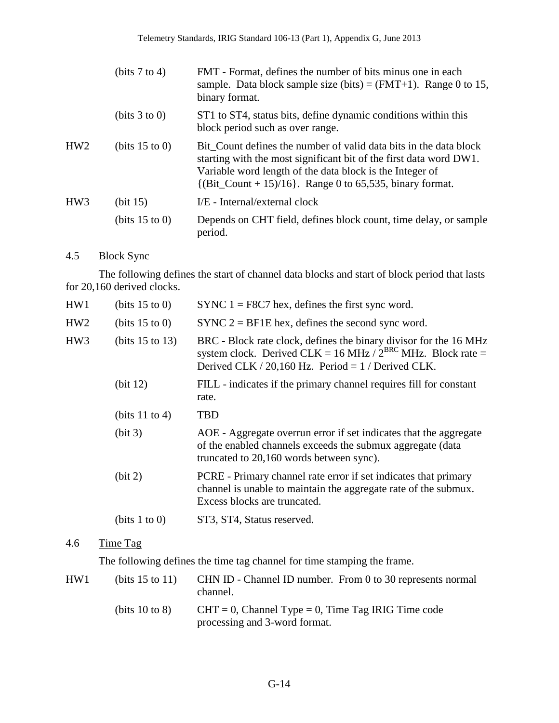|                 | (bits $7$ to $4$ ) | FMT - Format, defines the number of bits minus one in each<br>sample. Data block sample size (bits) = $(FMT+1)$ . Range 0 to 15,<br>binary format.                                                                                                                           |
|-----------------|--------------------|------------------------------------------------------------------------------------------------------------------------------------------------------------------------------------------------------------------------------------------------------------------------------|
|                 | (bits 3 to 0)      | ST1 to ST4, status bits, define dynamic conditions within this<br>block period such as over range.                                                                                                                                                                           |
| HW2             | (bits $15$ to 0)   | Bit Count defines the number of valid data bits in the data block<br>starting with the most significant bit of the first data word DW1.<br>Variable word length of the data block is the Integer of<br>$\{(\text{Bit\_Count} + 15)/16\}$ . Range 0 to 65,535, binary format. |
| HW <sub>3</sub> | (bit 15)           | I/E - Internal/external clock                                                                                                                                                                                                                                                |
|                 | (bits $15$ to 0)   | Depends on CHT field, defines block count, time delay, or sample<br>period.                                                                                                                                                                                                  |

## <span id="page-17-0"></span>4.5 Block Sync

The following defines the start of channel data blocks and start of block period that lasts for 20,160 derived clocks.

| HW1             | (bits $15$ to 0)     | SYNC $1 = F8C7$ hex, defines the first sync word.                                                                                                                                             |
|-----------------|----------------------|-----------------------------------------------------------------------------------------------------------------------------------------------------------------------------------------------|
| HW <sub>2</sub> | (bits $15$ to 0)     | SYNC $2 = BFIE$ hex, defines the second sync word.                                                                                                                                            |
| HW <sub>3</sub> | (bits $15$ to $13$ ) | BRC - Block rate clock, defines the binary divisor for the 16 MHz<br>system clock. Derived CLK = 16 MHz / $2^{BRC}$ MHz. Block rate =<br>Derived CLK / 20,160 Hz. Period = $1$ / Derived CLK. |
|                 | (bit 12)             | FILL - indicates if the primary channel requires fill for constant<br>rate.                                                                                                                   |
|                 | (bits $11$ to 4)     | <b>TBD</b>                                                                                                                                                                                    |
|                 | (bit 3)              | AOE - Aggregate overrun error if set indicates that the aggregate<br>of the enabled channels exceeds the submux aggregate (data<br>truncated to 20,160 words between sync).                   |
|                 | (bit 2)              | PCRE - Primary channel rate error if set indicates that primary<br>channel is unable to maintain the aggregate rate of the submux.<br>Excess blocks are truncated.                            |
|                 | (bits 1 to 0)        | ST3, ST4, Status reserved.                                                                                                                                                                    |
|                 |                      |                                                                                                                                                                                               |

<span id="page-17-1"></span>4.6 Time Tag

The following defines the time tag channel for time stamping the frame.

| HW1 | (bits $15$ to $11$ ) | CHN ID - Channel ID number. From 0 to 30 represents normal<br>channel.                 |
|-----|----------------------|----------------------------------------------------------------------------------------|
|     | (bits $10$ to $8$ )  | $CHT = 0$ , Channel Type = 0, Time Tag IRIG Time code<br>processing and 3-word format. |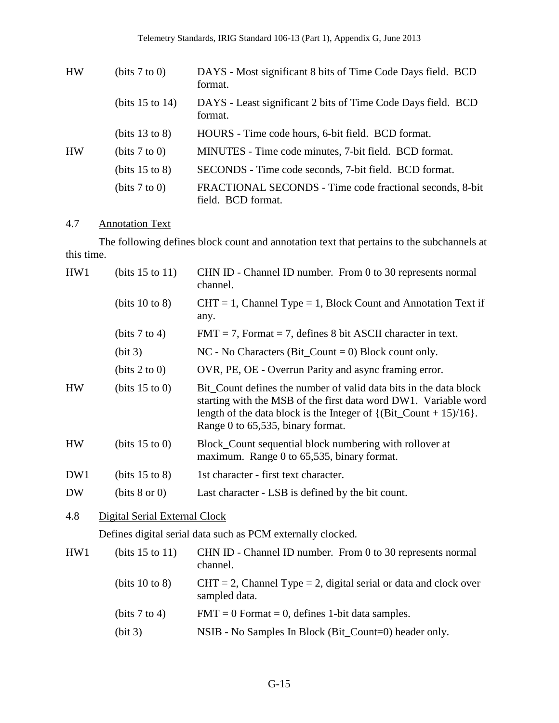| <b>HW</b> | (bits 7 to 0)        | DAYS - Most significant 8 bits of Time Code Days field. BCD<br>format.         |
|-----------|----------------------|--------------------------------------------------------------------------------|
|           | (bits $15$ to $14$ ) | DAYS - Least significant 2 bits of Time Code Days field. BCD<br>format.        |
|           | (bits $13$ to 8)     | HOURS - Time code hours, 6-bit field. BCD format.                              |
| <b>HW</b> | (bits 7 to 0)        | MINUTES - Time code minutes, 7-bit field. BCD format.                          |
|           | (bits $15$ to 8)     | SECONDS - Time code seconds, 7-bit field. BCD format.                          |
|           | (bits 7 to 0)        | FRACTIONAL SECONDS - Time code fractional seconds, 8-bit<br>field. BCD format. |

## <span id="page-18-0"></span>4.7 Annotation Text

The following defines block count and annotation text that pertains to the subchannels at this time.

<span id="page-18-1"></span>

| HW1       | (bits $15$ to $11$ )          | CHN ID - Channel ID number. From 0 to 30 represents normal<br>channel.                                                                                                                                                                                |
|-----------|-------------------------------|-------------------------------------------------------------------------------------------------------------------------------------------------------------------------------------------------------------------------------------------------------|
|           | (bits 10 to 8)                | $CHT = 1$ , Channel Type = 1, Block Count and Annotation Text if<br>any.                                                                                                                                                                              |
|           | (bits 7 to 4)                 | $FMT = 7$ , Format = 7, defines 8 bit ASCII character in text.                                                                                                                                                                                        |
|           | (bit 3)                       | $NC$ - No Characters (Bit_Count = 0) Block count only.                                                                                                                                                                                                |
|           | (bits 2 to 0)                 | OVR, PE, OE - Overrun Parity and async framing error.                                                                                                                                                                                                 |
| HW        | (bits $15$ to 0)              | Bit Count defines the number of valid data bits in the data block<br>starting with the MSB of the first data word DW1. Variable word<br>length of the data block is the Integer of $\{ (Bit\_Count + 15)/16 \}.$<br>Range 0 to 65,535, binary format. |
| <b>HW</b> | (bits $15$ to 0)              | Block_Count sequential block numbering with rollover at<br>maximum. Range 0 to 65,535, binary format.                                                                                                                                                 |
| DW1       | (bits $15$ to 8)              | 1st character - first text character.                                                                                                                                                                                                                 |
| <b>DW</b> | (bits 8 or 0)                 | Last character - LSB is defined by the bit count.                                                                                                                                                                                                     |
| 4.8       | Digital Serial External Clock |                                                                                                                                                                                                                                                       |
|           |                               | Defines digital serial data such as PCM externally clocked.                                                                                                                                                                                           |
| HW1       | (bits $15$ to $11$ )          | CHN ID - Channel ID number. From 0 to 30 represents normal<br>channel.                                                                                                                                                                                |
|           | (bits 10 to 8)                | $CHT = 2$ , Channel Type = 2, digital serial or data and clock over<br>sampled data.                                                                                                                                                                  |
|           | (bits 7 to 4)                 | $FMT = 0$ Format = 0, defines 1-bit data samples.                                                                                                                                                                                                     |
|           | (bit 3)                       | NSIB - No Samples In Block (Bit_Count=0) header only.                                                                                                                                                                                                 |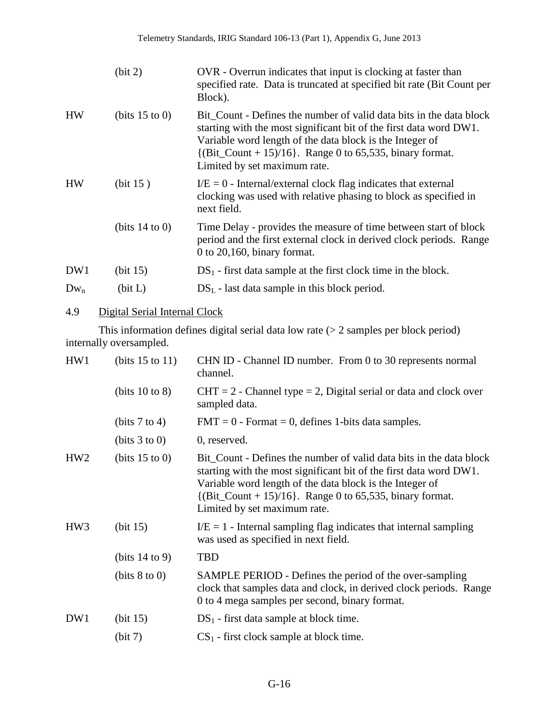|           | (bit 2)          | OVR - Overrun indicates that input is clocking at faster than<br>specified rate. Data is truncated at specified bit rate (Bit Count per<br>Block).                                                                                                                                                             |
|-----------|------------------|----------------------------------------------------------------------------------------------------------------------------------------------------------------------------------------------------------------------------------------------------------------------------------------------------------------|
| <b>HW</b> | (bits $15$ to 0) | Bit_Count - Defines the number of valid data bits in the data block<br>starting with the most significant bit of the first data word DW1.<br>Variable word length of the data block is the Integer of<br>$\{(\text{Bit\_Count} + 15)/16\}$ . Range 0 to 65,535, binary format.<br>Limited by set maximum rate. |
| <b>HW</b> | (bit 15)         | $I/E = 0$ - Internal/external clock flag indicates that external<br>clocking was used with relative phasing to block as specified in<br>next field.                                                                                                                                                            |
|           | (bits $14$ to 0) | Time Delay - provides the measure of time between start of block<br>period and the first external clock in derived clock periods. Range<br>$0$ to 20,160, binary format.                                                                                                                                       |
| DW1       | (bit 15)         | $DS1$ - first data sample at the first clock time in the block.                                                                                                                                                                                                                                                |
| $Dw_n$    | (bit L)          | $DSL$ - last data sample in this block period.                                                                                                                                                                                                                                                                 |

<span id="page-19-0"></span>4.9 Digital Serial Internal Clock

This information defines digital serial data low rate (> 2 samples per block period) internally oversampled.

| (bits $15$ to $11$ ) | CHN ID - Channel ID number. From 0 to 30 represents normal<br>channel.                                                                                                                                                                                                                                         |
|----------------------|----------------------------------------------------------------------------------------------------------------------------------------------------------------------------------------------------------------------------------------------------------------------------------------------------------------|
| (bits $10$ to $8$ )  | $CHT = 2$ - Channel type = 2, Digital serial or data and clock over<br>sampled data.                                                                                                                                                                                                                           |
| (bits $7$ to $4$ )   | $FMT = 0$ - Format = 0, defines 1-bits data samples.                                                                                                                                                                                                                                                           |
| (bits 3 to 0)        | 0, reserved.                                                                                                                                                                                                                                                                                                   |
| (bits $15$ to 0)     | Bit Count - Defines the number of valid data bits in the data block<br>starting with the most significant bit of the first data word DW1.<br>Variable word length of the data block is the Integer of<br>$\{(\text{Bit\_Count} + 15)/16\}$ . Range 0 to 65,535, binary format.<br>Limited by set maximum rate. |
| (bit 15)             | $I/E = 1$ - Internal sampling flag indicates that internal sampling<br>was used as specified in next field.                                                                                                                                                                                                    |
| (bits $14$ to 9)     | <b>TBD</b>                                                                                                                                                                                                                                                                                                     |
| (bits 8 to 0)        | SAMPLE PERIOD - Defines the period of the over-sampling<br>clock that samples data and clock, in derived clock periods. Range<br>0 to 4 mega samples per second, binary format.                                                                                                                                |
| (bit 15)             | $DS1$ - first data sample at block time.                                                                                                                                                                                                                                                                       |
| (bit 7)              | $CS_1$ - first clock sample at block time.                                                                                                                                                                                                                                                                     |
|                      |                                                                                                                                                                                                                                                                                                                |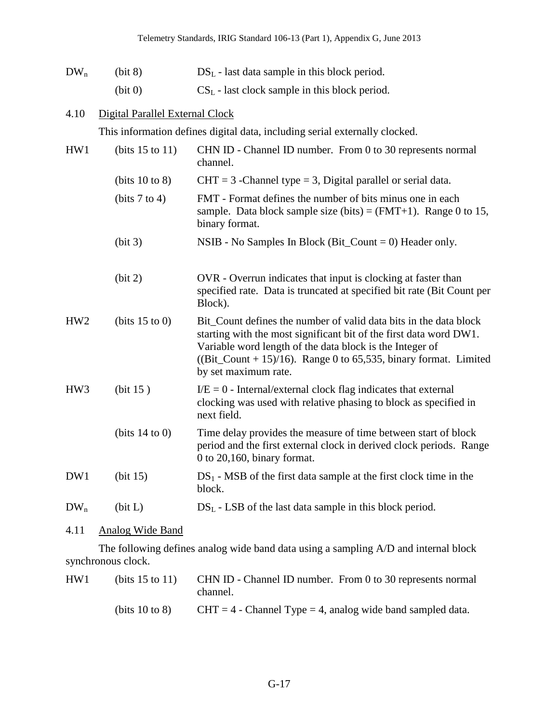<span id="page-20-0"></span>

| $DW_n$          | (bit 8)                                                                             | $DSL$ - last data sample in this block period.                                                                                                                                                                                                                                                      |  |
|-----------------|-------------------------------------------------------------------------------------|-----------------------------------------------------------------------------------------------------------------------------------------------------------------------------------------------------------------------------------------------------------------------------------------------------|--|
|                 | (bit 0)                                                                             | $CSL$ - last clock sample in this block period.                                                                                                                                                                                                                                                     |  |
| 4.10            | Digital Parallel External Clock                                                     |                                                                                                                                                                                                                                                                                                     |  |
|                 |                                                                                     | This information defines digital data, including serial externally clocked.                                                                                                                                                                                                                         |  |
| HW1             | (bits $15$ to $11$ )                                                                | CHN ID - Channel ID number. From 0 to 30 represents normal<br>channel.                                                                                                                                                                                                                              |  |
|                 | (bits $10$ to $8$ )                                                                 | $CHT = 3$ -Channel type = 3, Digital parallel or serial data.                                                                                                                                                                                                                                       |  |
|                 | (bits 7 to 4)                                                                       | FMT - Format defines the number of bits minus one in each<br>sample. Data block sample size (bits) = $(FMT+1)$ . Range 0 to 15,<br>binary format.                                                                                                                                                   |  |
|                 | (bit 3)                                                                             | NSIB - No Samples In Block (Bit_Count = 0) Header only.                                                                                                                                                                                                                                             |  |
|                 | (bit 2)                                                                             | OVR - Overrun indicates that input is clocking at faster than<br>specified rate. Data is truncated at specified bit rate (Bit Count per<br>Block).                                                                                                                                                  |  |
| HW <sub>2</sub> | (bits $15$ to 0)                                                                    | Bit_Count defines the number of valid data bits in the data block<br>starting with the most significant bit of the first data word DW1.<br>Variable word length of the data block is the Integer of<br>( $Bit\_Count + 15$ )/16). Range 0 to 65,535, binary format. Limited<br>by set maximum rate. |  |
| HW3             | (bit 15)                                                                            | $I/E = 0$ - Internal/external clock flag indicates that external<br>clocking was used with relative phasing to block as specified in<br>next field.                                                                                                                                                 |  |
|                 | (bits $14$ to 0)                                                                    | Time delay provides the measure of time between start of block<br>period and the first external clock in derived clock periods. Range<br>$0$ to 20,160, binary format.                                                                                                                              |  |
| DW1             | (bit 15)                                                                            | $DS1$ - MSB of the first data sample at the first clock time in the<br>block.                                                                                                                                                                                                                       |  |
| $DW_n$          | (bit L)                                                                             | $DSL$ - LSB of the last data sample in this block period.                                                                                                                                                                                                                                           |  |
| 4.11            | <b>Analog Wide Band</b>                                                             |                                                                                                                                                                                                                                                                                                     |  |
|                 | The following defines analog wide band data using a sampling A/D and internal block |                                                                                                                                                                                                                                                                                                     |  |

<span id="page-20-1"></span>synchronous clock.

| HW1 | (bits $15$ to $11$ ) | CHN ID - Channel ID number. From 0 to 30 represents normal<br>channel. |
|-----|----------------------|------------------------------------------------------------------------|
|     | (bits $10$ to $8$ )  | $CHT = 4$ - Channel Type = 4, analog wide band sampled data.           |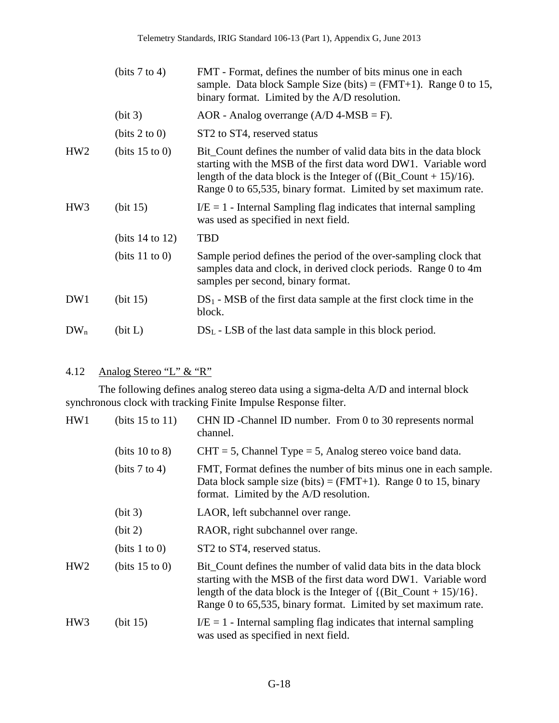|                 | (bits $7$ to $4$ )   | FMT - Format, defines the number of bits minus one in each<br>sample. Data block Sample Size (bits) = $(FMT+1)$ . Range 0 to 15,<br>binary format. Limited by the A/D resolution.                                                                                               |
|-----------------|----------------------|---------------------------------------------------------------------------------------------------------------------------------------------------------------------------------------------------------------------------------------------------------------------------------|
|                 | (bit 3)              | AOR - Analog overrange $(A/D 4-MSB = F)$ .                                                                                                                                                                                                                                      |
|                 | (bits 2 to 0)        | ST <sub>2</sub> to ST <sub>4</sub> , reserved status                                                                                                                                                                                                                            |
| HW <sub>2</sub> | (bits $15$ to 0)     | Bit_Count defines the number of valid data bits in the data block<br>starting with the MSB of the first data word DW1. Variable word<br>length of the data block is the Integer of $((Bit\_Count + 15)/16)$ .<br>Range 0 to 65,535, binary format. Limited by set maximum rate. |
| HW <sub>3</sub> | (bit 15)             | $I/E = 1$ - Internal Sampling flag indicates that internal sampling<br>was used as specified in next field.                                                                                                                                                                     |
|                 | (bits $14$ to $12$ ) | <b>TBD</b>                                                                                                                                                                                                                                                                      |
|                 | (bits $11$ to 0)     | Sample period defines the period of the over-sampling clock that<br>samples data and clock, in derived clock periods. Range 0 to 4m<br>samples per second, binary format.                                                                                                       |
| DW1             | (bit 15)             | $DS1$ - MSB of the first data sample at the first clock time in the<br>block.                                                                                                                                                                                                   |
| $DW_n$          | (bit L)              | $DSL$ - LSB of the last data sample in this block period.                                                                                                                                                                                                                       |
|                 |                      |                                                                                                                                                                                                                                                                                 |

## <span id="page-21-0"></span>4.12 Analog Stereo "L" & "R"

The following defines analog stereo data using a sigma-delta A/D and internal block synchronous clock with tracking Finite Impulse Response filter.

| HW1             | (bits $15$ to $11$ ) | CHN ID -Channel ID number. From 0 to 30 represents normal<br>channel.                                                                                                                                                                                                                   |
|-----------------|----------------------|-----------------------------------------------------------------------------------------------------------------------------------------------------------------------------------------------------------------------------------------------------------------------------------------|
|                 | (bits $10$ to 8)     | $CHT = 5$ , Channel Type = 5, Analog stereo voice band data.                                                                                                                                                                                                                            |
|                 | (bits 7 to 4)        | FMT, Format defines the number of bits minus one in each sample.<br>Data block sample size (bits) = $(FMT+1)$ . Range 0 to 15, binary<br>format. Limited by the A/D resolution.                                                                                                         |
|                 | (bit 3)              | LAOR, left subchannel over range.                                                                                                                                                                                                                                                       |
|                 | (bit 2)              | RAOR, right subchannel over range.                                                                                                                                                                                                                                                      |
|                 | (bits 1 to 0)        | ST <sub>2</sub> to ST <sub>4</sub> , reserved status.                                                                                                                                                                                                                                   |
| HW <sub>2</sub> | (bits $15$ to 0)     | Bit Count defines the number of valid data bits in the data block<br>starting with the MSB of the first data word DW1. Variable word<br>length of the data block is the Integer of $\{(\text{Bit\_Count} + 15)/16\}.$<br>Range 0 to 65,535, binary format. Limited by set maximum rate. |
| HW <sub>3</sub> | (bit 15)             | $I/E = 1$ - Internal sampling flag indicates that internal sampling<br>was used as specified in next field.                                                                                                                                                                             |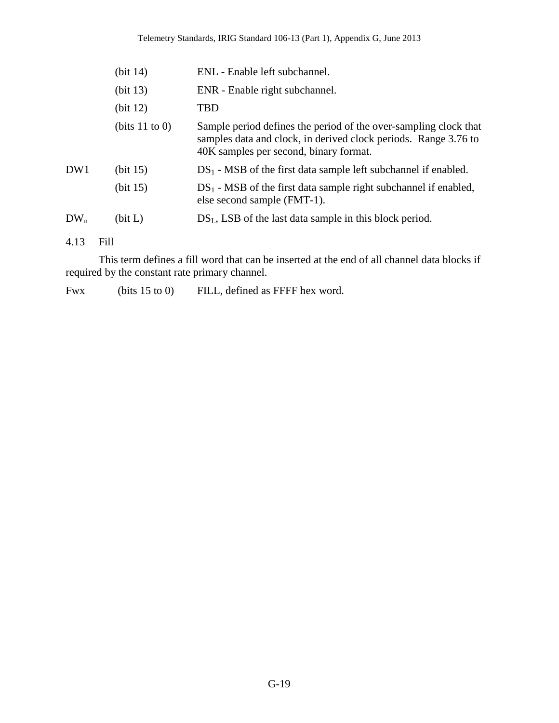|        | (bit 14)         | ENL - Enable left subchannel.                                                                                                                                                 |
|--------|------------------|-------------------------------------------------------------------------------------------------------------------------------------------------------------------------------|
|        | (bit 13)         | ENR - Enable right subchannel.                                                                                                                                                |
|        | (bit 12)         | TBD                                                                                                                                                                           |
|        | (bits $11$ to 0) | Sample period defines the period of the over-sampling clock that<br>samples data and clock, in derived clock periods. Range 3.76 to<br>40K samples per second, binary format. |
| DW1    | (bit 15)         | $DS1$ - MSB of the first data sample left subchannel if enabled.                                                                                                              |
|        | (bit 15)         | $DS_1$ - MSB of the first data sample right subchannel if enabled,<br>else second sample (FMT-1).                                                                             |
| $DW_n$ | (bit L)          | $DSL$ , LSB of the last data sample in this block period.                                                                                                                     |
|        |                  |                                                                                                                                                                               |

<span id="page-22-0"></span>4.13 Fill

This term defines a fill word that can be inserted at the end of all channel data blocks if required by the constant rate primary channel.

Fwx (bits 15 to 0) FILL, defined as FFFF hex word.